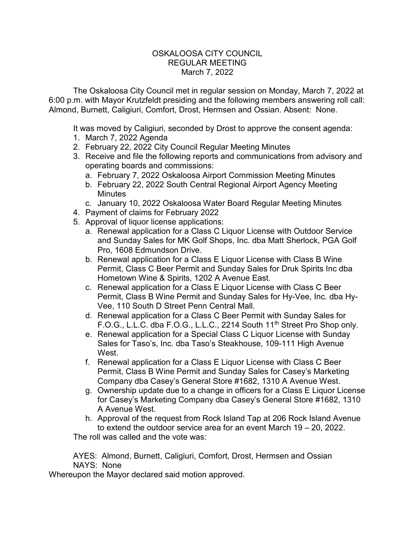## OSKALOOSA CITY COUNCIL REGULAR MEETING March 7, 2022

The Oskaloosa City Council met in regular session on Monday, March 7, 2022 at 6:00 p.m. with Mayor Krutzfeldt presiding and the following members answering roll call: Almond, Burnett, Caligiuri, Comfort, Drost, Hermsen and Ossian. Absent: None.

It was moved by Caligiuri, seconded by Drost to approve the consent agenda:

- 1. March 7, 2022 Agenda
- 2. February 22, 2022 City Council Regular Meeting Minutes
- 3. Receive and file the following reports and communications from advisory and operating boards and commissions:
	- a. February 7, 2022 Oskaloosa Airport Commission Meeting Minutes
	- b. February 22, 2022 South Central Regional Airport Agency Meeting Minutes
	- c. January 10, 2022 Oskaloosa Water Board Regular Meeting Minutes
- 4. Payment of claims for February 2022
- 5. Approval of liquor license applications:
	- a. Renewal application for a Class C Liquor License with Outdoor Service and Sunday Sales for MK Golf Shops, Inc. dba Matt Sherlock, PGA Golf Pro, 1608 Edmundson Drive.
	- b. Renewal application for a Class E Liquor License with Class B Wine Permit, Class C Beer Permit and Sunday Sales for Druk Spirits Inc dba Hometown Wine & Spirits, 1202 A Avenue East.
	- c. Renewal application for a Class E Liquor License with Class C Beer Permit, Class B Wine Permit and Sunday Sales for Hy-Vee, Inc. dba Hy-Vee, 110 South D Street Penn Central Mall.
	- d. Renewal application for a Class C Beer Permit with Sunday Sales for F.O.G., L.L.C. dba F.O.G., L.L.C., 2214 South 11<sup>th</sup> Street Pro Shop only.
	- e. Renewal application for a Special Class C Liquor License with Sunday Sales for Taso's, Inc. dba Taso's Steakhouse, 109-111 High Avenue West.
	- f. Renewal application for a Class E Liquor License with Class C Beer Permit, Class B Wine Permit and Sunday Sales for Casey's Marketing Company dba Casey's General Store #1682, 1310 A Avenue West.
	- g. Ownership update due to a change in officers for a Class E Liquor License for Casey's Marketing Company dba Casey's General Store #1682, 1310 A Avenue West.
	- h. Approval of the request from Rock Island Tap at 206 Rock Island Avenue to extend the outdoor service area for an event March 19 – 20, 2022.

The roll was called and the vote was:

AYES: Almond, Burnett, Caligiuri, Comfort, Drost, Hermsen and Ossian NAYS: None

Whereupon the Mayor declared said motion approved.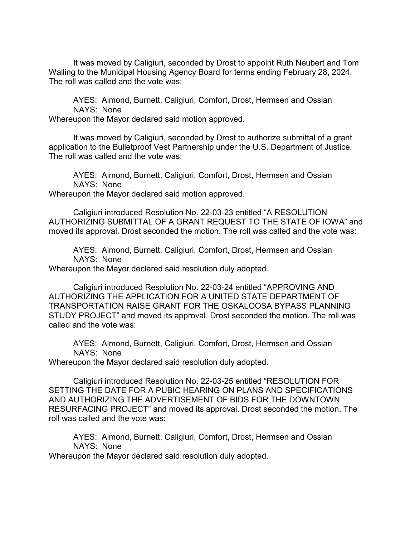It was moved by Caligiuri, seconded by Drost to appoint Ruth Neubert and Tom Walling to the Municipal Housing Agency Board for terms ending February 28, 2024. The roll was called and the vote was:

AYES: Almond, Burnett, Caligiuri, Comfort, Drost, Hermsen and Ossian NAYS: None

Whereupon the Mayor declared said motion approved.

It was moved by Caligiuri, seconded by Drost to authorize submittal of a grant application to the Bulletproof Vest Partnership under the U.S. Department of Justice. The roll was called and the vote was:

AYES: Almond, Burnett, Caligiuri, Comfort, Drost, Hermsen and Ossian NAYS: None

Whereupon the Mayor declared said motion approved.

Caligiuri introduced Resolution No. 22-03-23 entitled "A RESOLUTION AUTHORIZING SUBMITTAL OF A GRANT REQUEST TO THE STATE OF IOWA" and moved its approval. Drost seconded the motion. The roll was called and the vote was:

AYES: Almond, Burnett, Caligiuri, Comfort, Drost, Hermsen and Ossian NAYS: None

Whereupon the Mayor declared said resolution duly adopted.

Caligiuri introduced Resolution No. 22-03-24 entitled "APPROVING AND AUTHORIZING THE APPLICATION FOR A UNITED STATE DEPARTMENT OF TRANSPORTATION RAISE GRANT FOR THE OSKALOOSA BYPASS PLANNING STUDY PROJECT" and moved its approval. Drost seconded the motion. The roll was called and the vote was:

AYES: Almond, Burnett, Caligiuri, Comfort, Drost, Hermsen and Ossian NAYS: None

Whereupon the Mayor declared said resolution duly adopted.

Caligiuri introduced Resolution No. 22-03-25 entitled "RESOLUTION FOR SETTING THE DATE FOR A PUBIC HEARING ON PLANS AND SPECIFICATIONS AND AUTHORIZING THE ADVERTISEMENT OF BIDS FOR THE DOWNTOWN RESURFACING PROJECT" and moved its approval. Drost seconded the motion. The roll was called and the vote was:

AYES: Almond, Burnett, Caligiuri, Comfort, Drost, Hermsen and Ossian NAYS: None

Whereupon the Mayor declared said resolution duly adopted.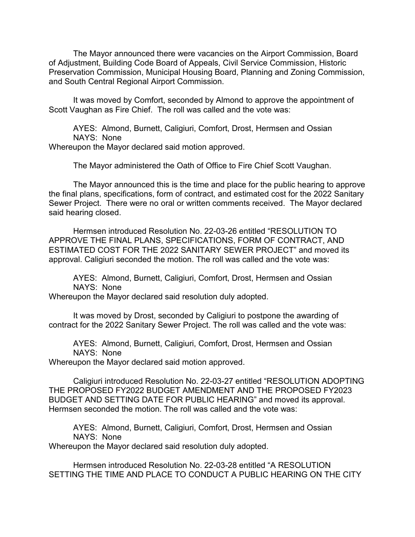The Mayor announced there were vacancies on the Airport Commission, Board of Adjustment, Building Code Board of Appeals, Civil Service Commission, Historic Preservation Commission, Municipal Housing Board, Planning and Zoning Commission, and South Central Regional Airport Commission.

It was moved by Comfort, seconded by Almond to approve the appointment of Scott Vaughan as Fire Chief. The roll was called and the vote was:

AYES: Almond, Burnett, Caligiuri, Comfort, Drost, Hermsen and Ossian NAYS: None Whereupon the Mayor declared said motion approved.

The Mayor administered the Oath of Office to Fire Chief Scott Vaughan.

The Mayor announced this is the time and place for the public hearing to approve the final plans, specifications, form of contract, and estimated cost for the 2022 Sanitary Sewer Project. There were no oral or written comments received. The Mayor declared said hearing closed.

Hermsen introduced Resolution No. 22-03-26 entitled "RESOLUTION TO APPROVE THE FINAL PLANS, SPECIFICATIONS, FORM OF CONTRACT, AND ESTIMATED COST FOR THE 2022 SANITARY SEWER PROJECT" and moved its approval. Caligiuri seconded the motion. The roll was called and the vote was:

AYES: Almond, Burnett, Caligiuri, Comfort, Drost, Hermsen and Ossian NAYS: None

Whereupon the Mayor declared said resolution duly adopted.

It was moved by Drost, seconded by Caligiuri to postpone the awarding of contract for the 2022 Sanitary Sewer Project. The roll was called and the vote was:

AYES: Almond, Burnett, Caligiuri, Comfort, Drost, Hermsen and Ossian NAYS: None

Whereupon the Mayor declared said motion approved.

Caligiuri introduced Resolution No. 22-03-27 entitled "RESOLUTION ADOPTING THE PROPOSED FY2022 BUDGET AMENDMENT AND THE PROPOSED FY2023 BUDGET AND SETTING DATE FOR PUBLIC HEARING" and moved its approval. Hermsen seconded the motion. The roll was called and the vote was:

AYES: Almond, Burnett, Caligiuri, Comfort, Drost, Hermsen and Ossian NAYS: None

Whereupon the Mayor declared said resolution duly adopted.

Hermsen introduced Resolution No. 22-03-28 entitled "A RESOLUTION SETTING THE TIME AND PLACE TO CONDUCT A PUBLIC HEARING ON THE CITY